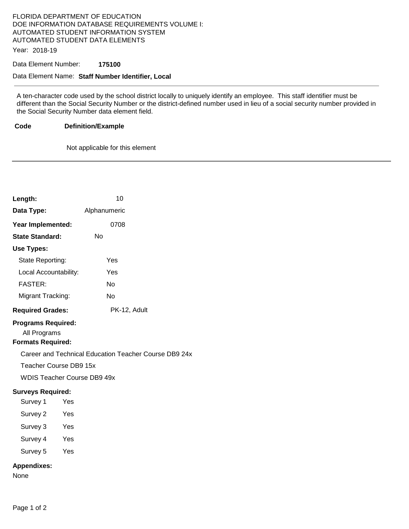# FLORIDA DEPARTMENT OF EDUCATION DOE INFORMATION DATABASE REQUIREMENTS VOLUME I: AUTOMATED STUDENT INFORMATION SYSTEM AUTOMATED STUDENT DATA ELEMENTS

Year: 2018-19

### Data Element Number: **175100**

### Data Element Name: **Staff Number Identifier, Local**

A ten-character code used by the school district locally to uniquely identify an employee. This staff identifier must be different than the Social Security Number or the district-defined number used in lieu of a social security number provided in the Social Security Number data element field.

DB9 24x

#### **Code Definition/Example**

Not applicable for this element

| Length:                                                               | 10                                            |
|-----------------------------------------------------------------------|-----------------------------------------------|
| Data Type:                                                            | Alphanumeric                                  |
| Year Implemented:                                                     | 0708                                          |
| <b>State Standard:</b>                                                | N٥                                            |
| Use Types:                                                            |                                               |
| State Reporting:                                                      | Yes                                           |
| Local Accountability:                                                 | Yes                                           |
| <b>FASTER:</b>                                                        | No                                            |
| Migrant Tracking:                                                     | No                                            |
| <b>Required Grades:</b>                                               | PK-12, Adult                                  |
| <b>Programs Required:</b><br>All Programs<br><b>Formats Required:</b> |                                               |
|                                                                       | Career and Technical Education Teacher Course |
| Teacher Course DB9 15x<br><b>WDIS Teacher Course DB9 49x</b>          |                                               |
|                                                                       |                                               |
| <b>Surveys Required:</b>                                              |                                               |
| Survey 1                                                              | <b>Yes</b>                                    |
| Survey 2                                                              | Yes                                           |
| Survey 3                                                              | Yes                                           |
| Survey 4                                                              | Yes                                           |
| Survey 5                                                              | Yes                                           |
| <b>Appendixes:</b><br>None                                            |                                               |